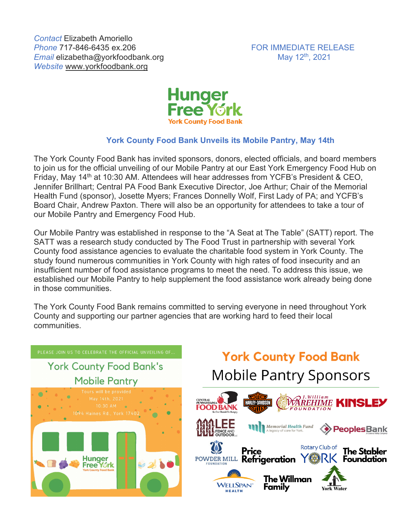

## **York County Food Bank Unveils its Mobile Pantry, May 14th**

The York County Food Bank has invited sponsors, donors, elected officials, and board members to join us for the official unveiling of our Mobile Pantry at our East York Emergency Food Hub on Friday, May 14th at 10:30 AM. Attendees will hear addresses from YCFB's President & CEO, Jennifer Brillhart; Central PA Food Bank Executive Director, Joe Arthur; Chair of the Memorial Health Fund (sponsor), Josette Myers; Frances Donnelly Wolf, First Lady of PA; and YCFB's Board Chair, Andrew Paxton. There will also be an opportunity for attendees to take a tour of our Mobile Pantry and Emergency Food Hub.

Our Mobile Pantry was established in response to the "A Seat at The Table" (SATT) report. The SATT was a research study conducted by The Food Trust in partnership with several York County food assistance agencies to evaluate the charitable food system in York County. The study found numerous communities in York County with high rates of food insecurity and an insufficient number of food assistance programs to meet the need. To address this issue, we established our Mobile Pantry to help supplement the food assistance work already being done in those communities.

The York County Food Bank remains committed to serving everyone in need throughout York County and supporting our partner agencies that are working hard to feed their local communities.



## **York County Food Bank Mobile Pantry Sponsors**